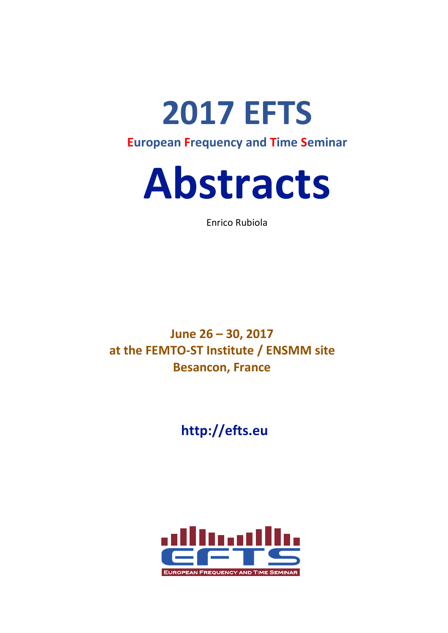



Enrico Rubiola

**June 26 – 30, 2017** at the FEMTO-ST Institute / ENSMM site **Besancon, France** 

**http://efts.eu**

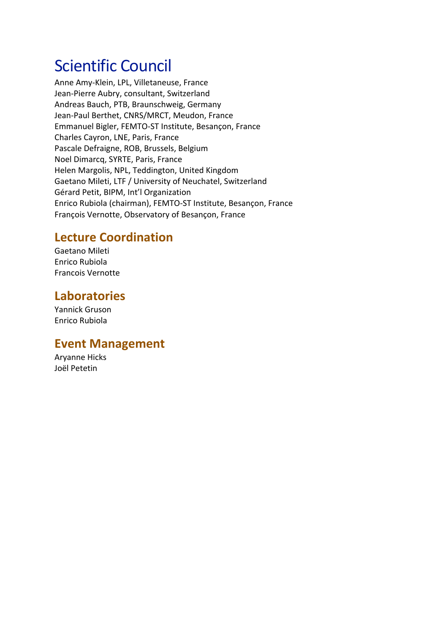# **Scientific Council**

Anne Amy-Klein, LPL, Villetaneuse, France Jean-Pierre Aubry, consultant, Switzerland Andreas Bauch, PTB, Braunschweig, Germany Jean-Paul Berthet, CNRS/MRCT, Meudon, France Emmanuel Bigler, FEMTO-ST Institute, Besançon, France Charles Cayron, LNE, Paris, France Pascale Defraigne, ROB, Brussels, Belgium Noel Dimarcq, SYRTE, Paris, France Helen Margolis, NPL, Teddington, United Kingdom Gaetano Mileti, LTF / University of Neuchatel, Switzerland Gérard Petit, BIPM, Int'l Organization Enrico Rubiola (chairman), FEMTO-ST Institute, Besançon, France François Vernotte, Observatory of Besançon, France

# **Lecture Coordination**

Gaetano Mileti Enrico Rubiola Francois Vernotte

# **Laboratories**

Yannick Gruson Enrico Rubiola

# **Event Management**

**Aryanne Hicks** Joël Petetin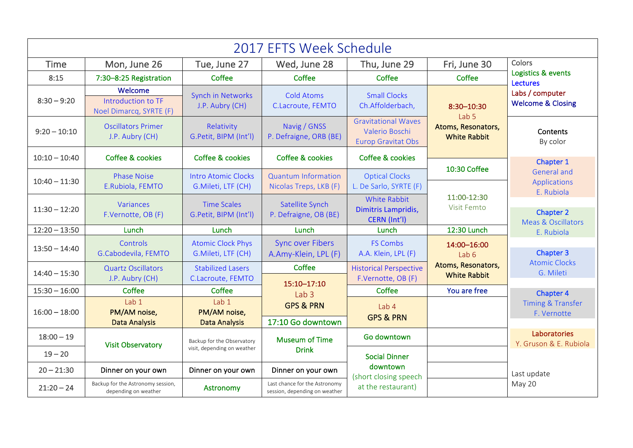| 2017 EFTS Week Schedule |                                                           |                                                           |                                                                |                                                                           |                                                                             |                                                                                 |
|-------------------------|-----------------------------------------------------------|-----------------------------------------------------------|----------------------------------------------------------------|---------------------------------------------------------------------------|-----------------------------------------------------------------------------|---------------------------------------------------------------------------------|
| <b>Time</b>             | Mon, June 26                                              | Tue, June 27                                              | Wed, June 28                                                   | Thu, June 29                                                              | Fri, June 30                                                                | Colors                                                                          |
| 8:15                    | 7:30-8:25 Registration                                    | Coffee                                                    | Coffee                                                         | Coffee                                                                    | Coffee                                                                      | Logistics & events<br><b>Lectures</b>                                           |
| $8:30 - 9:20$           | Welcome<br>Introduction to TF<br>Noel Dimarcq, SYRTE (F)  | <b>Synch in Networks</b><br>J.P. Aubry (CH)               | <b>Cold Atoms</b><br>C.Lacroute, FEMTO                         | <b>Small Clocks</b><br>Ch.Affolderbach,                                   | 8:30-10:30<br>Lab <sub>5</sub><br>Atoms, Resonators,<br><b>White Rabbit</b> | Labs / computer<br><b>Welcome &amp; Closing</b>                                 |
| $9:20 - 10:10$          | <b>Oscillators Primer</b><br>J.P. Aubry (CH)              | Relativity<br>G.Petit, BIPM (Int'l)                       | Navig / GNSS<br>P. Defraigne, ORB (BE)                         | <b>Gravitational Waves</b><br>Valerio Boschi<br><b>Europ Gravitat Obs</b> |                                                                             | Contents<br>By color                                                            |
| $10:10 - 10:40$         | <b>Coffee &amp; cookies</b>                               | <b>Coffee &amp; cookies</b>                               | Coffee & cookies                                               | Coffee & cookies                                                          |                                                                             | Chapter 1                                                                       |
|                         | <b>Phase Noise</b>                                        | <b>Intro Atomic Clocks</b>                                | <b>Quantum Information</b>                                     | <b>Optical Clocks</b>                                                     | 10:30 Coffee                                                                | <b>General and</b>                                                              |
| $10:40 - 11:30$         | E.Rubiola, FEMTO                                          | G.Mileti, LTF (CH)                                        | Nicolas Treps, LKB (F)                                         | L. De Sarlo, SYRTE (F)                                                    | 11:00-12:30<br>Visit Femto                                                  | Applications<br>E. Rubiola<br><b>Chapter 2</b><br><b>Meas &amp; Oscillators</b> |
| $11:30 - 12:20$         | Variances<br>F.Vernotte, OB (F)                           | <b>Time Scales</b><br>G.Petit, BIPM (Int'l)               | Satellite Synch<br>P. Defraigne, OB (BE)                       | <b>White Rabbit</b><br>Dimitris Lampridis,<br>CERN (Int'l)                |                                                                             |                                                                                 |
| $12:20 - 13:50$         | Lunch                                                     | Lunch                                                     | Lunch                                                          | Lunch                                                                     | 12:30 Lunch                                                                 | E. Rubiola                                                                      |
| $13:50 - 14:40$         | Controls<br>G.Cabodevila, FEMTO                           | <b>Atomic Clock Phys</b><br>G.Mileti, LTF (CH)            | <b>Sync over Fibers</b><br>A.Amy-Klein, LPL (F)                | <b>FS Combs</b><br>A.A. Klein, LPL (F)                                    | 14:00-16:00<br>Lab 6                                                        | <b>Chapter 3</b>                                                                |
| $14:40 - 15:30$         | <b>Quartz Oscillators</b>                                 | <b>Stabilized Lasers</b>                                  | Coffee                                                         | <b>Historical Perspective</b>                                             | Atoms, Resonators,<br><b>White Rabbit</b>                                   | <b>Atomic Clocks</b><br>G. Mileti                                               |
|                         | J.P. Aubry (CH)                                           | C.Lacroute, FEMTO                                         | 15:10-17:10                                                    | F.Vernotte, OB (F)                                                        |                                                                             |                                                                                 |
| $15:30 - 16:00$         | Coffee                                                    | Coffee                                                    | Lab <sub>3</sub>                                               | Coffee                                                                    | You are free                                                                | <b>Chapter 4</b>                                                                |
| $16:00 - 18:00$         | Lab 1<br>PM/AM noise,                                     | Lab 1<br>PM/AM noise,                                     | <b>GPS &amp; PRN</b><br>17:10 Go downtown                      | Lab 4<br><b>GPS &amp; PRN</b>                                             |                                                                             | <b>Timing &amp; Transfer</b><br>F. Vernotte                                     |
|                         | <b>Data Analysis</b>                                      | <b>Data Analysis</b>                                      |                                                                |                                                                           |                                                                             |                                                                                 |
| $18:00 - 19$            | <b>Visit Observatory</b>                                  | Backup for the Observatory<br>visit, depending on weather | <b>Museum of Time</b><br><b>Drink</b>                          | Go downtown                                                               |                                                                             | Laboratories<br>Y. Gruson & E. Rubiola                                          |
| $19 - 20$               |                                                           |                                                           |                                                                | <b>Social Dinner</b>                                                      |                                                                             |                                                                                 |
| $20 - 21:30$            | Dinner on your own                                        | Dinner on your own                                        | Dinner on your own                                             | downtown<br>(short closing speech                                         |                                                                             | Last update                                                                     |
| $21:20 - 24$            | Backup for the Astronomy session,<br>depending on weather | Astronomy                                                 | Last chance for the Astronomy<br>session, depending on weather | at the restaurant)                                                        |                                                                             | May 20                                                                          |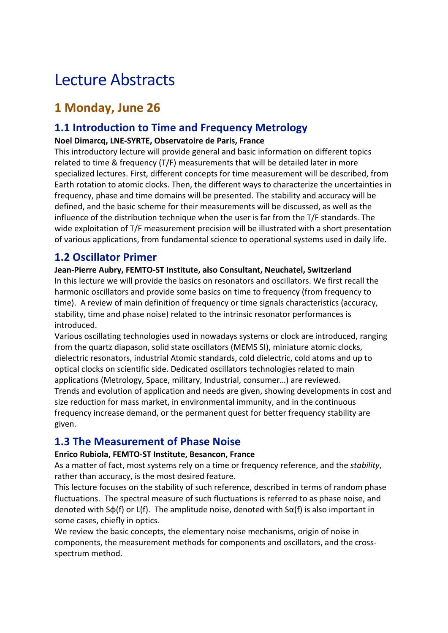# Lecture Abstracts

# **1 Monday, June 26**

# **1.1 Introduction to Time and Frequency Metrology**

### **Noel Dimarcq, LNE-SYRTE, Observatoire de Paris, France**

This introductory lecture will provide general and basic information on different topics related to time & frequency  $(T/F)$  measurements that will be detailed later in more specialized lectures. First, different concepts for time measurement will be described, from Earth rotation to atomic clocks. Then, the different ways to characterize the uncertainties in frequency, phase and time domains will be presented. The stability and accuracy will be defined, and the basic scheme for their measurements will be discussed, as well as the influence of the distribution technique when the user is far from the T/F standards. The wide exploitation of T/F measurement precision will be illustrated with a short presentation of various applications, from fundamental science to operational systems used in daily life.

# **1.2 Oscillator Primer**

### Jean-Pierre Aubry, FEMTO-ST Institute, also Consultant, Neuchatel, Switzerland

In this lecture we will provide the basics on resonators and oscillators. We first recall the harmonic oscillators and provide some basics on time to frequency (from frequency to time). A review of main definition of frequency or time signals characteristics (accuracy, stability, time and phase noise) related to the intrinsic resonator performances is introduced. 

Various oscillating technologies used in nowadays systems or clock are introduced, ranging from the quartz diapason, solid state oscillators (MEMS SI), miniature atomic clocks, dielectric resonators, industrial Atomic standards, cold dielectric, cold atoms and up to optical clocks on scientific side. Dedicated oscillators technologies related to main applications (Metrology, Space, military, Industrial, consumer...) are reviewed. Trends and evolution of application and needs are given, showing developments in cost and size reduction for mass market, in environmental immunity, and in the continuous frequency increase demand, or the permanent quest for better frequency stability are given. 

# **1.3 The Measurement of Phase Noise**

### **Enrico Rubiola, FEMTO-ST Institute, Besancon, France**

As a matter of fact, most systems rely on a time or frequency reference, and the *stability*, rather than accuracy, is the most desired feature.

This lecture focuses on the stability of such reference, described in terms of random phase fluctuations. The spectral measure of such fluctuations is referred to as phase noise, and denoted with  $S\varphi(f)$  or L(f). The amplitude noise, denoted with  $S\alpha(f)$  is also important in some cases, chiefly in optics.

We review the basic concepts, the elementary noise mechanisms, origin of noise in components, the measurement methods for components and oscillators, and the crossspectrum method.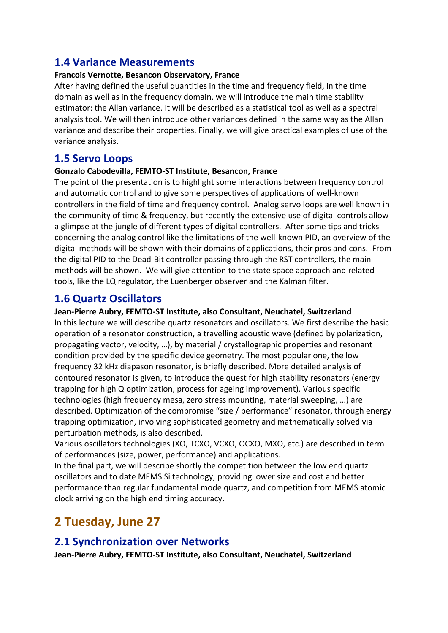# **1.4 Variance Measurements**

#### **Francois Vernotte, Besancon Observatory, France**

After having defined the useful quantities in the time and frequency field, in the time domain as well as in the frequency domain, we will introduce the main time stability estimator: the Allan variance. It will be described as a statistical tool as well as a spectral analysis tool. We will then introduce other variances defined in the same way as the Allan variance and describe their properties. Finally, we will give practical examples of use of the variance analysis.

# **1.5 Servo Loops**

#### Gonzalo Cabodevilla, FEMTO-ST Institute, Besancon, France

The point of the presentation is to highlight some interactions between frequency control and automatic control and to give some perspectives of applications of well-known controllers in the field of time and frequency control. Analog servo loops are well known in the community of time & frequency, but recently the extensive use of digital controls allow a glimpse at the jungle of different types of digital controllers. After some tips and tricks concerning the analog control like the limitations of the well-known PID, an overview of the digital methods will be shown with their domains of applications, their pros and cons. From the digital PID to the Dead-Bit controller passing through the RST controllers, the main methods will be shown. We will give attention to the state space approach and related tools, like the LQ regulator, the Luenberger observer and the Kalman filter.

### **1.6 Quartz Oscillators**

#### Jean-Pierre Aubry, FEMTO-ST Institute, also Consultant, Neuchatel, Switzerland

In this lecture we will describe quartz resonators and oscillators. We first describe the basic operation of a resonator construction, a travelling acoustic wave (defined by polarization, propagating vector, velocity, ...), by material / crystallographic properties and resonant condition provided by the specific device geometry. The most popular one, the low frequency 32 kHz diapason resonator, is briefly described. More detailed analysis of contoured resonator is given, to introduce the quest for high stability resonators (energy trapping for high Q optimization, process for ageing improvement). Various specific technologies (high frequency mesa, zero stress mounting, material sweeping, ...) are described. Optimization of the compromise "size / performance" resonator, through energy trapping optimization, involving sophisticated geometry and mathematically solved via perturbation methods, is also described.

Various oscillators technologies (XO, TCXO, VCXO, OCXO, MXO, etc.) are described in term of performances (size, power, performance) and applications.

In the final part, we will describe shortly the competition between the low end quartz oscillators and to date MEMS Si technology, providing lower size and cost and better performance than regular fundamental mode quartz, and competition from MEMS atomic clock arriving on the high end timing accuracy.

# **2 Tuesday, June 27**

### **2.1 Synchronization over Networks**

Jean-Pierre Aubry, FEMTO-ST Institute, also Consultant, Neuchatel, Switzerland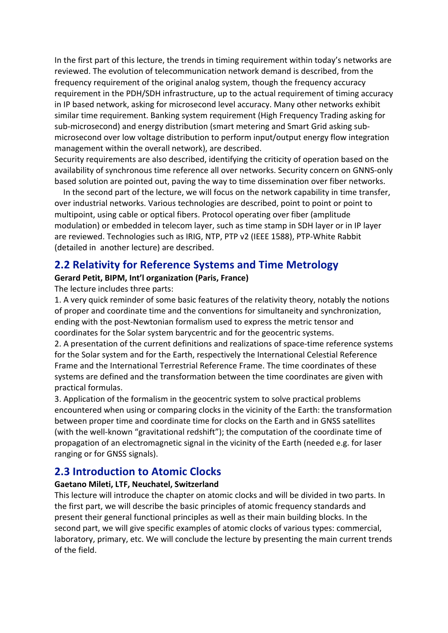In the first part of this lecture, the trends in timing requirement within today's networks are reviewed. The evolution of telecommunication network demand is described, from the frequency requirement of the original analog system, though the frequency accuracy requirement in the PDH/SDH infrastructure, up to the actual requirement of timing accuracy in IP based network, asking for microsecond level accuracy. Many other networks exhibit similar time requirement. Banking system requirement (High Frequency Trading asking for sub-microsecond) and energy distribution (smart metering and Smart Grid asking submicrosecond over low voltage distribution to perform input/output energy flow integration management within the overall network), are described.

Security requirements are also described, identifying the criticity of operation based on the availability of synchronous time reference all over networks. Security concern on GNNS-only based solution are pointed out, paving the way to time dissemination over fiber networks.

In the second part of the lecture, we will focus on the network capability in time transfer, over industrial networks. Various technologies are described, point to point or point to multipoint, using cable or optical fibers. Protocol operating over fiber (amplitude modulation) or embedded in telecom layer, such as time stamp in SDH layer or in IP layer are reviewed. Technologies such as IRIG, NTP, PTP v2 (IEEE 1588), PTP-White Rabbit (detailed in another lecture) are described.

### **2.2 Relativity for Reference Systems and Time Metrology**

#### Gerard Petit, BIPM, Int'l organization (Paris, France)

The lecture includes three parts:

1. A very quick reminder of some basic features of the relativity theory, notably the notions of proper and coordinate time and the conventions for simultaneity and synchronization, ending with the post-Newtonian formalism used to express the metric tensor and coordinates for the Solar system barycentric and for the geocentric systems.

2. A presentation of the current definitions and realizations of space-time reference systems for the Solar system and for the Earth, respectively the International Celestial Reference Frame and the International Terrestrial Reference Frame. The time coordinates of these systems are defined and the transformation between the time coordinates are given with practical formulas.

3. Application of the formalism in the geocentric system to solve practical problems encountered when using or comparing clocks in the vicinity of the Earth: the transformation between proper time and coordinate time for clocks on the Earth and in GNSS satellites (with the well-known "gravitational redshift"); the computation of the coordinate time of propagation of an electromagnetic signal in the vicinity of the Earth (needed e.g. for laser ranging or for GNSS signals).

### **2.3 Introduction to Atomic Clocks**

#### **Gaetano Mileti, LTF, Neuchatel, Switzerland**

This lecture will introduce the chapter on atomic clocks and will be divided in two parts. In the first part, we will describe the basic principles of atomic frequency standards and present their general functional principles as well as their main building blocks. In the second part, we will give specific examples of atomic clocks of various types: commercial, laboratory, primary, etc. We will conclude the lecture by presenting the main current trends of the field.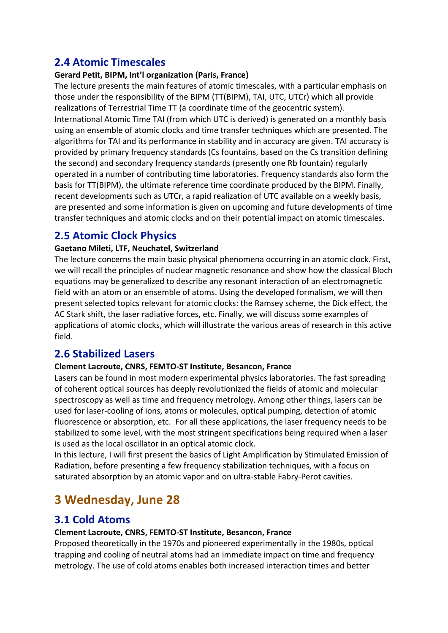# **2.4 Atomic Timescales**

#### Gerard Petit, BIPM, Int'l organization (Paris, France)

The lecture presents the main features of atomic timescales, with a particular emphasis on those under the responsibility of the BIPM (TT(BIPM), TAI, UTC, UTCr) which all provide realizations of Terrestrial Time TT (a coordinate time of the geocentric system). International Atomic Time TAI (from which UTC is derived) is generated on a monthly basis using an ensemble of atomic clocks and time transfer techniques which are presented. The algorithms for TAI and its performance in stability and in accuracy are given. TAI accuracy is provided by primary frequency standards (Cs fountains, based on the Cs transition defining the second) and secondary frequency standards (presently one Rb fountain) regularly operated in a number of contributing time laboratories. Frequency standards also form the basis for TT(BIPM), the ultimate reference time coordinate produced by the BIPM. Finally, recent developments such as UTCr, a rapid realization of UTC available on a weekly basis, are presented and some information is given on upcoming and future developments of time transfer techniques and atomic clocks and on their potential impact on atomic timescales.

# **2.5 Atomic Clock Physics**

#### Gaetano Mileti, LTF, Neuchatel, Switzerland

The lecture concerns the main basic physical phenomena occurring in an atomic clock. First, we will recall the principles of nuclear magnetic resonance and show how the classical Bloch equations may be generalized to describe any resonant interaction of an electromagnetic field with an atom or an ensemble of atoms. Using the developed formalism, we will then present selected topics relevant for atomic clocks: the Ramsey scheme, the Dick effect, the AC Stark shift, the laser radiative forces, etc. Finally, we will discuss some examples of applications of atomic clocks, which will illustrate the various areas of research in this active field.

# **2.6 Stabilized Lasers**

#### **Clement Lacroute, CNRS, FEMTO-ST Institute, Besancon, France**

Lasers can be found in most modern experimental physics laboratories. The fast spreading of coherent optical sources has deeply revolutionized the fields of atomic and molecular spectroscopy as well as time and frequency metrology. Among other things, lasers can be used for laser-cooling of ions, atoms or molecules, optical pumping, detection of atomic fluorescence or absorption, etc. For all these applications, the laser frequency needs to be stabilized to some level, with the most stringent specifications being required when a laser is used as the local oscillator in an optical atomic clock.

In this lecture, I will first present the basics of Light Amplification by Stimulated Emission of Radiation, before presenting a few frequency stabilization techniques, with a focus on saturated absorption by an atomic vapor and on ultra-stable Fabry-Perot cavities.

# **3 Wednesday, June 28**

# **3.1 Cold Atoms**

#### **Clement Lacroute, CNRS, FEMTO-ST Institute, Besancon, France**

Proposed theoretically in the 1970s and pioneered experimentally in the 1980s, optical trapping and cooling of neutral atoms had an immediate impact on time and frequency metrology. The use of cold atoms enables both increased interaction times and better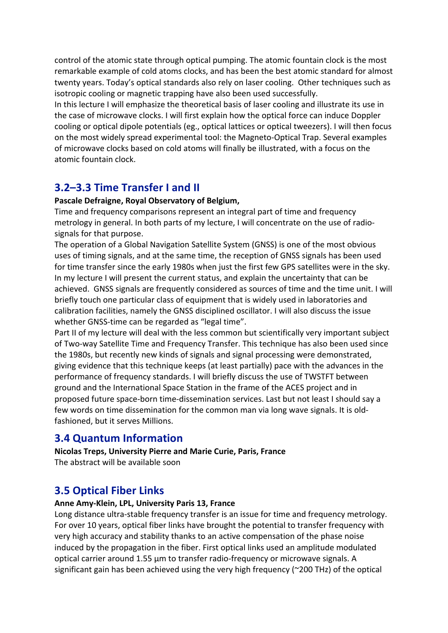control of the atomic state through optical pumping. The atomic fountain clock is the most remarkable example of cold atoms clocks, and has been the best atomic standard for almost twenty years. Today's optical standards also rely on laser cooling. Other techniques such as isotropic cooling or magnetic trapping have also been used successfully.

In this lecture I will emphasize the theoretical basis of laser cooling and illustrate its use in the case of microwave clocks. I will first explain how the optical force can induce Doppler cooling or optical dipole potentials (eg., optical lattices or optical tweezers). I will then focus on the most widely spread experimental tool: the Magneto-Optical Trap. Several examples of microwave clocks based on cold atoms will finally be illustrated, with a focus on the atomic fountain clock.

# **3.2–3.3 Time Transfer I and II**

#### Pascale Defraigne, Royal Observatory of Belgium,

Time and frequency comparisons represent an integral part of time and frequency metrology in general. In both parts of my lecture, I will concentrate on the use of radiosignals for that purpose.

The operation of a Global Navigation Satellite System (GNSS) is one of the most obvious uses of timing signals, and at the same time, the reception of GNSS signals has been used for time transfer since the early 1980s when just the first few GPS satellites were in the sky. In my lecture I will present the current status, and explain the uncertainty that can be achieved. GNSS signals are frequently considered as sources of time and the time unit. I will briefly touch one particular class of equipment that is widely used in laboratories and calibration facilities, namely the GNSS disciplined oscillator. I will also discuss the issue whether GNSS-time can be regarded as "legal time".

Part II of my lecture will deal with the less common but scientifically very important subject of Two-way Satellite Time and Frequency Transfer. This technique has also been used since the 1980s, but recently new kinds of signals and signal processing were demonstrated, giving evidence that this technique keeps (at least partially) pace with the advances in the performance of frequency standards. I will briefly discuss the use of TWSTFT between ground and the International Space Station in the frame of the ACES project and in proposed future space-born time-dissemination services. Last but not least I should say a few words on time dissemination for the common man via long wave signals. It is oldfashioned, but it serves Millions.

# **3.4 Quantum Information**

**Nicolas Treps, University Pierre and Marie Curie, Paris, France** The abstract will be available soon

# **3.5 Optical Fiber Links**

#### Anne Amy-Klein, LPL, University Paris 13, France

Long distance ultra-stable frequency transfer is an issue for time and frequency metrology. For over 10 years, optical fiber links have brought the potential to transfer frequency with very high accuracy and stability thanks to an active compensation of the phase noise induced by the propagation in the fiber. First optical links used an amplitude modulated optical carrier around  $1.55 \mu m$  to transfer radio-frequency or microwave signals. A significant gain has been achieved using the very high frequency ( $\approx$ 200 THz) of the optical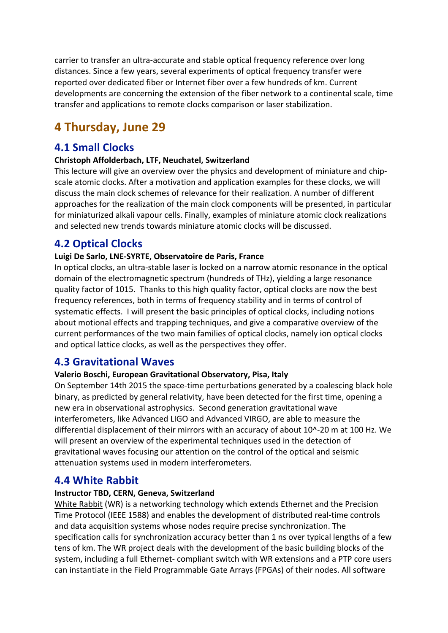carrier to transfer an ultra-accurate and stable optical frequency reference over long distances. Since a few years, several experiments of optical frequency transfer were reported over dedicated fiber or Internet fiber over a few hundreds of km. Current developments are concerning the extension of the fiber network to a continental scale, time transfer and applications to remote clocks comparison or laser stabilization.

# **4 Thursday, June 29**

### **4.1 Small Clocks**

#### **Christoph Affolderbach, LTF, Neuchatel, Switzerland**

This lecture will give an overview over the physics and development of miniature and chipscale atomic clocks. After a motivation and application examples for these clocks, we will discuss the main clock schemes of relevance for their realization. A number of different approaches for the realization of the main clock components will be presented, in particular for miniaturized alkali vapour cells. Finally, examples of miniature atomic clock realizations and selected new trends towards miniature atomic clocks will be discussed.

### **4.2 Optical Clocks**

#### Luigi De Sarlo, LNE-SYRTE, Observatoire de Paris, France

In optical clocks, an ultra-stable laser is locked on a narrow atomic resonance in the optical domain of the electromagnetic spectrum (hundreds of THz), yielding a large resonance quality factor of 1015. Thanks to this high quality factor, optical clocks are now the best frequency references, both in terms of frequency stability and in terms of control of systematic effects. I will present the basic principles of optical clocks, including notions about motional effects and trapping techniques, and give a comparative overview of the current performances of the two main families of optical clocks, namely ion optical clocks and optical lattice clocks, as well as the perspectives they offer.

### **4.3 Gravitational Waves**

#### **Valerio Boschi, European Gravitational Observatory, Pisa, Italy**

On September 14th 2015 the space-time perturbations generated by a coalescing black hole binary, as predicted by general relativity, have been detected for the first time, opening a new era in observational astrophysics. Second generation gravitational wave interferometers, like Advanced LIGO and Advanced VIRGO, are able to measure the differential displacement of their mirrors with an accuracy of about  $10^{\circ}$ -20 m at 100 Hz. We will present an overview of the experimental techniques used in the detection of gravitational waves focusing our attention on the control of the optical and seismic attenuation systems used in modern interferometers.

### **4.4 White Rabbit**

#### **Instructor TBD, CERN, Geneva, Switzerland**

White Rabbit (WR) is a networking technology which extends Ethernet and the Precision Time Protocol (IEEE 1588) and enables the development of distributed real-time controls and data acquisition systems whose nodes require precise synchronization. The specification calls for synchronization accuracy better than 1 ns over typical lengths of a few tens of km. The WR project deals with the development of the basic building blocks of the system, including a full Ethernet- compliant switch with WR extensions and a PTP core users can instantiate in the Field Programmable Gate Arrays (FPGAs) of their nodes. All software